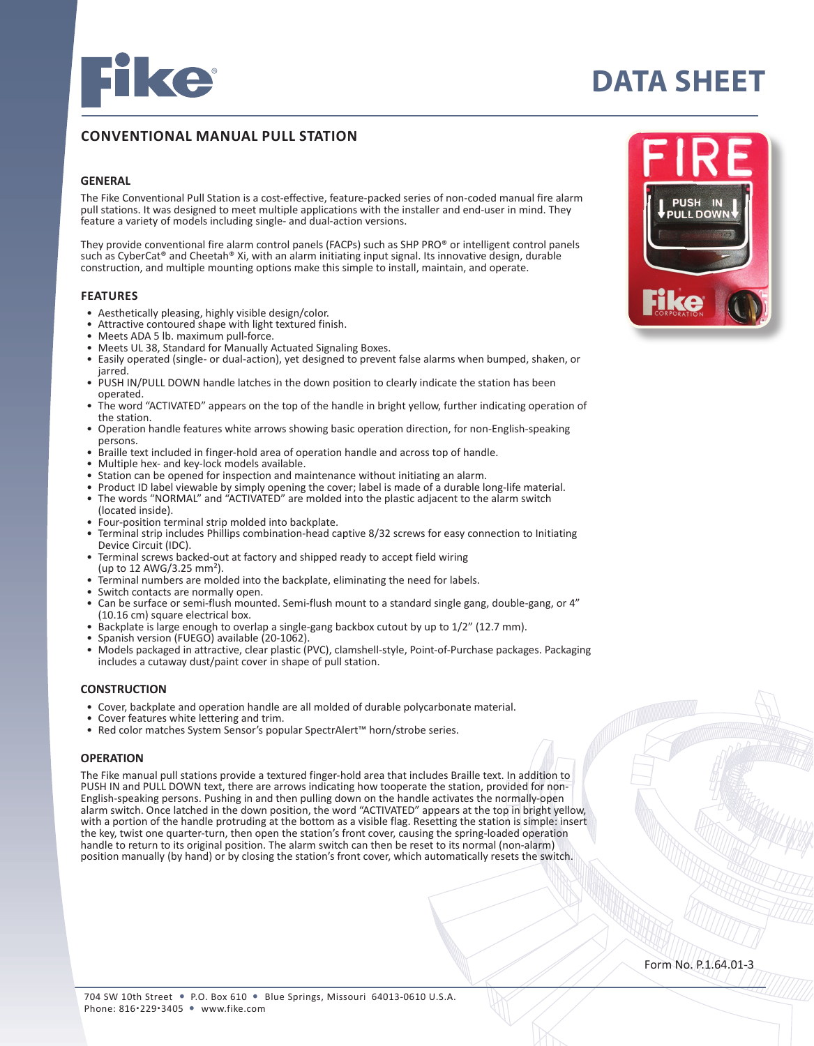

# **DATA SHEET**

# **CONVENTIONAL MANUAL PULL STATION**

# **GENERAL**

The Fike Conventional Pull Station is a cost-effective, feature-packed series of non-coded manual fire alarm pull stations. It was designed to meet multiple applications with the installer and end-user in mind. They feature a variety of models including single- and dual-action versions.

They provide conventional fire alarm control panels (FACPs) such as SHP PRO® or intelligent control panels such as CyberCat® and Cheetah® Xi, with an alarm initiating input signal. Its innovative design, durable construction, and multiple mounting options make this simple to install, maintain, and operate.

### **FEATURES**

- Aesthetically pleasing, highly visible design/color.
- Attractive contoured shape with light textured finish.
- Meets ADA 5 lb. maximum pull-force.
- Meets UL 38, Standard for Manually Actuated Signaling Boxes.
- Easily operated (single- or dual-action), yet designed to prevent false alarms when bumped, shaken, or jarred.
- PUSH IN/PULL DOWN handle latches in the down position to clearly indicate the station has been operated.
- The word "ACTIVATED" appears on the top of the handle in bright yellow, further indicating operation of the station.
- Operation handle features white arrows showing basic operation direction, for non-English-speaking persons.
- Braille text included in finger-hold area of operation handle and across top of handle.<br>Multiple hex- and key-lock models available.
- 
- 
- 
- Station can be opened for inspection and maintenance without initiating an alarm.<br>• Product ID label viewable by simply opening the cover; label is made of a durable long-life material.<br>• The words "NORMAL" and "ACTIVATE
- 
- Four-position terminal strip molded into backplate.<br>Terminal strip includes Phillips combination-head captive 8/32 screws for easy connection to Initiating<br>Device Circuit (IDC).
- Terminal screws backed-out at factory and shipped ready to accept field wiring (up to 12 AWG/3.25 mm<sup>2</sup>).
- 
- 
- Terminal numbers are molded into the backplate, eliminating the need for labels.<br>Switch contacts are normally open.<br>Can be surface or semi-flush mounted. Semi-flush mount to a standard single gang, double-gang, or 4"<br>(10.1
- 
- 
- Backplate is large enough to overlap a single-gang backbox cutout by up to 1/2" (12.7 mm).<br>• Spanish version (FUEGO) available (20-1062).<br>• Models packaged in attractive, clear plastic (PVC), clamshell-style, Point-of-Pu includes a cutaway dust/paint cover in shape of pull station.

### **CONSTRUCTION**

- Cover, backplate and operation handle are all molded of durable polycarbonate material.
- Cover features white lettering and trim.<br>• Red color matches System Sensor's none
- Red color matches System Sensor's popular SpectrAlert™ horn/strobe series.

# **OPERATION**

The Fike manual pull stations provide a textured finger-hold area that includes Braille text. In addition to PUSH IN and PULL DOWN text, there are arrows indicating how tooperate the station, provided for non-English-speaking persons. Pushing in and then pulling down on the handle activates the normally-open alarm switch. Once latched in the down position, the word "ACTIVATED" appears at the top in bright yellow, with a portion of the handle protruding at the bottom as a visible flag. Resetting the station is simple: insert the key, twist one quarter-turn, then open the station's front cover, causing the spring-loaded operation handle to return to its original position. The alarm switch can then be reset to its normal (non-alarm) position manually (by hand) or by closing the station's front cover, which automatically resets the switch.



Form No. P.1.64.01-3